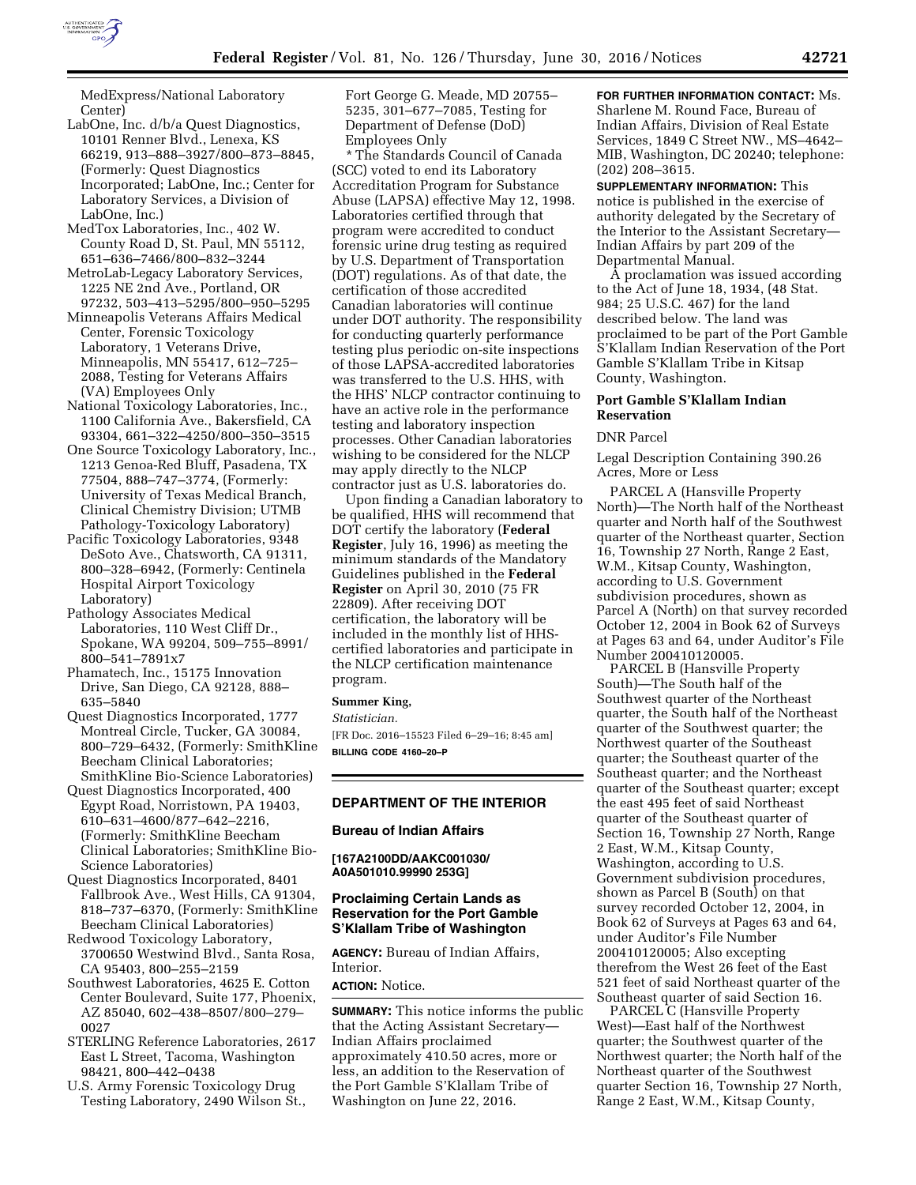

MedExpress/National Laboratory Center)

- LabOne, Inc. d/b/a Quest Diagnostics, 10101 Renner Blvd., Lenexa, KS 66219, 913–888–3927/800–873–8845, (Formerly: Quest Diagnostics Incorporated; LabOne, Inc.; Center for Laboratory Services, a Division of LabOne, Inc.)
- MedTox Laboratories, Inc., 402 W. County Road D, St. Paul, MN 55112, 651–636–7466/800–832–3244
- MetroLab-Legacy Laboratory Services, 1225 NE 2nd Ave., Portland, OR 97232, 503–413–5295/800–950–5295
- Minneapolis Veterans Affairs Medical Center, Forensic Toxicology Laboratory, 1 Veterans Drive, Minneapolis, MN 55417, 612–725– 2088, Testing for Veterans Affairs (VA) Employees Only
- National Toxicology Laboratories, Inc., 1100 California Ave., Bakersfield, CA 93304, 661–322–4250/800–350–3515
- One Source Toxicology Laboratory, Inc., 1213 Genoa-Red Bluff, Pasadena, TX 77504, 888–747–3774, (Formerly: University of Texas Medical Branch, Clinical Chemistry Division; UTMB Pathology-Toxicology Laboratory)
- Pacific Toxicology Laboratories, 9348 DeSoto Ave., Chatsworth, CA 91311, 800–328–6942, (Formerly: Centinela Hospital Airport Toxicology Laboratory)
- Pathology Associates Medical Laboratories, 110 West Cliff Dr., Spokane, WA 99204, 509–755–8991/ 800–541–7891x7
- Phamatech, Inc., 15175 Innovation Drive, San Diego, CA 92128, 888– 635–5840
- Quest Diagnostics Incorporated, 1777 Montreal Circle, Tucker, GA 30084, 800–729–6432, (Formerly: SmithKline Beecham Clinical Laboratories; SmithKline Bio-Science Laboratories)
- Quest Diagnostics Incorporated, 400 Egypt Road, Norristown, PA 19403, 610–631–4600/877–642–2216, (Formerly: SmithKline Beecham Clinical Laboratories; SmithKline Bio-Science Laboratories)
- Quest Diagnostics Incorporated, 8401 Fallbrook Ave., West Hills, CA 91304, 818–737–6370, (Formerly: SmithKline Beecham Clinical Laboratories)
- Redwood Toxicology Laboratory, 3700650 Westwind Blvd., Santa Rosa, CA 95403, 800–255–2159
- Southwest Laboratories, 4625 E. Cotton Center Boulevard, Suite 177, Phoenix, AZ 85040, 602–438–8507/800–279– 0027
- STERLING Reference Laboratories, 2617 East L Street, Tacoma, Washington 98421, 800–442–0438
- U.S. Army Forensic Toxicology Drug Testing Laboratory, 2490 Wilson St.,

Fort George G. Meade, MD 20755– 5235, 301–677–7085, Testing for Department of Defense (DoD) Employees Only

\* The Standards Council of Canada (SCC) voted to end its Laboratory Accreditation Program for Substance Abuse (LAPSA) effective May 12, 1998. Laboratories certified through that program were accredited to conduct forensic urine drug testing as required by U.S. Department of Transportation (DOT) regulations. As of that date, the certification of those accredited Canadian laboratories will continue under DOT authority. The responsibility for conducting quarterly performance testing plus periodic on-site inspections of those LAPSA-accredited laboratories was transferred to the U.S. HHS, with the HHS' NLCP contractor continuing to have an active role in the performance testing and laboratory inspection processes. Other Canadian laboratories wishing to be considered for the NLCP may apply directly to the NLCP contractor just as U.S. laboratories do.

Upon finding a Canadian laboratory to be qualified, HHS will recommend that DOT certify the laboratory (**Federal Register**, July 16, 1996) as meeting the minimum standards of the Mandatory Guidelines published in the **Federal Register** on April 30, 2010 (75 FR 22809). After receiving DOT certification, the laboratory will be included in the monthly list of HHScertified laboratories and participate in the NLCP certification maintenance program.

#### **Summer King,**

*Statistician.* 

[FR Doc. 2016–15523 Filed 6–29–16; 8:45 am] **BILLING CODE 4160–20–P** 

### **DEPARTMENT OF THE INTERIOR**

### **Bureau of Indian Affairs**

**[167A2100DD/AAKC001030/ A0A501010.99990 253G]** 

# **Proclaiming Certain Lands as Reservation for the Port Gamble S'Klallam Tribe of Washington**

**AGENCY:** Bureau of Indian Affairs, **Interior** 

# **ACTION:** Notice.

**SUMMARY:** This notice informs the public that the Acting Assistant Secretary— Indian Affairs proclaimed approximately 410.50 acres, more or less, an addition to the Reservation of the Port Gamble S'Klallam Tribe of Washington on June 22, 2016.

# **FOR FURTHER INFORMATION CONTACT:** Ms. Sharlene M. Round Face, Bureau of Indian Affairs, Division of Real Estate Services, 1849 C Street NW., MS–4642– MIB, Washington, DC 20240; telephone: (202) 208–3615.

**SUPPLEMENTARY INFORMATION:** This notice is published in the exercise of authority delegated by the Secretary of the Interior to the Assistant Secretary— Indian Affairs by part 209 of the Departmental Manual.

A proclamation was issued according to the Act of June 18, 1934, (48 Stat. 984; 25 U.S.C. 467) for the land described below. The land was proclaimed to be part of the Port Gamble S'Klallam Indian Reservation of the Port Gamble S'Klallam Tribe in Kitsap County, Washington.

#### **Port Gamble S'Klallam Indian Reservation**

#### DNR Parcel

Legal Description Containing 390.26 Acres, More or Less

PARCEL A (Hansville Property North)—The North half of the Northeast quarter and North half of the Southwest quarter of the Northeast quarter, Section 16, Township 27 North, Range 2 East, W.M., Kitsap County, Washington, according to U.S. Government subdivision procedures, shown as Parcel A (North) on that survey recorded October 12, 2004 in Book 62 of Surveys at Pages 63 and 64, under Auditor's File Number 200410120005.

PARCEL B (Hansville Property South)—The South half of the Southwest quarter of the Northeast quarter, the South half of the Northeast quarter of the Southwest quarter; the Northwest quarter of the Southeast quarter; the Southeast quarter of the Southeast quarter; and the Northeast quarter of the Southeast quarter; except the east 495 feet of said Northeast quarter of the Southeast quarter of Section 16, Township 27 North, Range 2 East, W.M., Kitsap County, Washington, according to U.S. Government subdivision procedures, shown as Parcel B (South) on that survey recorded October 12, 2004, in Book 62 of Surveys at Pages 63 and 64, under Auditor's File Number 200410120005; Also excepting therefrom the West 26 feet of the East 521 feet of said Northeast quarter of the Southeast quarter of said Section 16.

PARCEL C (Hansville Property West)—East half of the Northwest quarter; the Southwest quarter of the Northwest quarter; the North half of the Northeast quarter of the Southwest quarter Section 16, Township 27 North, Range 2 East, W.M., Kitsap County,